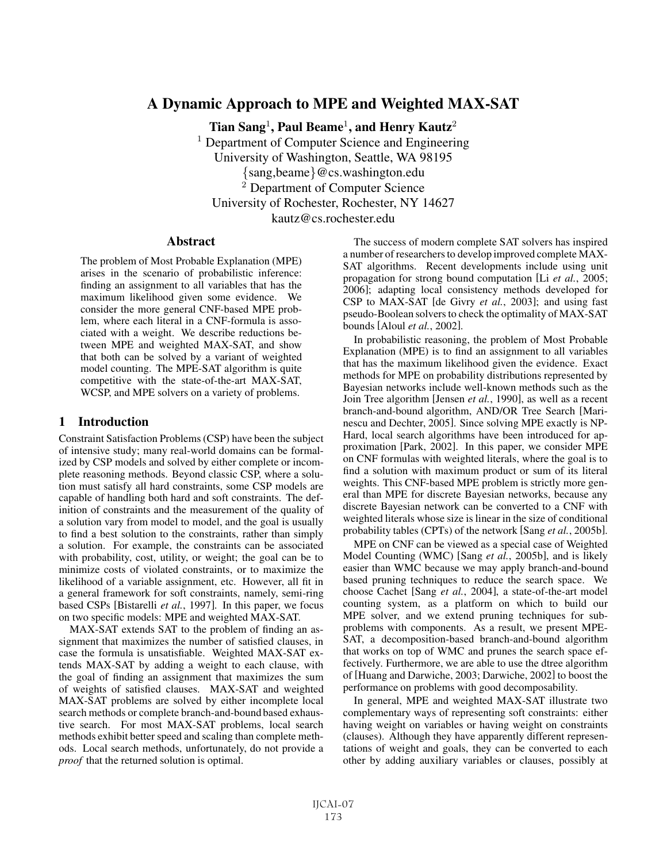# A Dynamic Approach to MPE and Weighted MAX-SAT

Tian Sang<sup>1</sup>, Paul Beame<sup>1</sup>, and Henry Kautz<sup>2</sup> <sup>1</sup> Department of Computer Science and Engineering University of Washington, Seattle, WA 98195 {sang,beame}@cs.washington.edu <sup>2</sup> Department of Computer Science

University of Rochester, Rochester, NY 14627

kautz@cs.rochester.edu

# **Abstract**

The problem of Most Probable Explanation (MPE) arises in the scenario of probabilistic inference: finding an assignment to all variables that has the maximum likelihood given some evidence. We consider the more general CNF-based MPE problem, where each literal in a CNF-formula is associated with a weight. We describe reductions between MPE and weighted MAX-SAT, and show that both can be solved by a variant of weighted model counting. The MPE-SAT algorithm is quite competitive with the state-of-the-art MAX-SAT, WCSP, and MPE solvers on a variety of problems.

# 1 Introduction

Constraint Satisfaction Problems (CSP) have been the subject of intensive study; many real-world domains can be formalized by CSP models and solved by either complete or incomplete reasoning methods. Beyond classic CSP, where a solution must satisfy all hard constraints, some CSP models are capable of handling both hard and soft constraints. The definition of constraints and the measurement of the quality of a solution vary from model to model, and the goal is usually to find a best solution to the constraints, rather than simply a solution. For example, the constraints can be associated with probability, cost, utility, or weight; the goal can be to minimize costs of violated constraints, or to maximize the likelihood of a variable assignment, etc. However, all fit in a general framework for soft constraints, namely, semi-ring based CSPs [Bistarelli *et al.*, 1997]. In this paper, we focus on two specific models: MPE and weighted MAX-SAT.

MAX-SAT extends SAT to the problem of finding an assignment that maximizes the number of satisfied clauses, in case the formula is unsatisfiable. Weighted MAX-SAT extends MAX-SAT by adding a weight to each clause, with the goal of finding an assignment that maximizes the sum of weights of satisfied clauses. MAX-SAT and weighted MAX-SAT problems are solved by either incomplete local search methods or complete branch-and-bound based exhaustive search. For most MAX-SAT problems, local search methods exhibit better speed and scaling than complete methods. Local search methods, unfortunately, do not provide a *proof* that the returned solution is optimal.

The success of modern complete SAT solvers has inspired a number of researchers to develop improved complete MAX-SAT algorithms. Recent developments include using unit propagation for strong bound computation [Li *et al.*, 2005; 2006]; adapting local consistency methods developed for CSP to MAX-SAT [de Givry *et al.*, 2003]; and using fast pseudo-Boolean solvers to check the optimality of MAX-SAT bounds [Aloul *et al.*, 2002].

In probabilistic reasoning, the problem of Most Probable Explanation (MPE) is to find an assignment to all variables that has the maximum likelihood given the evidence. Exact methods for MPE on probability distributions represented by Bayesian networks include well-known methods such as the Join Tree algorithm [Jensen *et al.*, 1990], as well as a recent branch-and-bound algorithm, AND/OR Tree Search [Marinescu and Dechter, 2005]. Since solving MPE exactly is NP-Hard, local search algorithms have been introduced for approximation [Park, 2002]. In this paper, we consider MPE on CNF formulas with weighted literals, where the goal is to find a solution with maximum product or sum of its literal weights. This CNF-based MPE problem is strictly more general than MPE for discrete Bayesian networks, because any discrete Bayesian network can be converted to a CNF with weighted literals whose size is linear in the size of conditional probability tables (CPTs) of the network [Sang *et al.*, 2005b].

MPE on CNF can be viewed as a special case of Weighted Model Counting (WMC) [Sang *et al.*, 2005b], and is likely easier than WMC because we may apply branch-and-bound based pruning techniques to reduce the search space. We choose Cachet [Sang *et al.*, 2004], a state-of-the-art model counting system, as a platform on which to build our MPE solver, and we extend pruning techniques for subproblems with components. As a result, we present MPE-SAT, a decomposition-based branch-and-bound algorithm that works on top of WMC and prunes the search space effectively. Furthermore, we are able to use the dtree algorithm of [Huang and Darwiche, 2003; Darwiche, 2002] to boost the performance on problems with good decomposability.

In general, MPE and weighted MAX-SAT illustrate two complementary ways of representing soft constraints: either having weight on variables or having weight on constraints (clauses). Although they have apparently different representations of weight and goals, they can be converted to each other by adding auxiliary variables or clauses, possibly at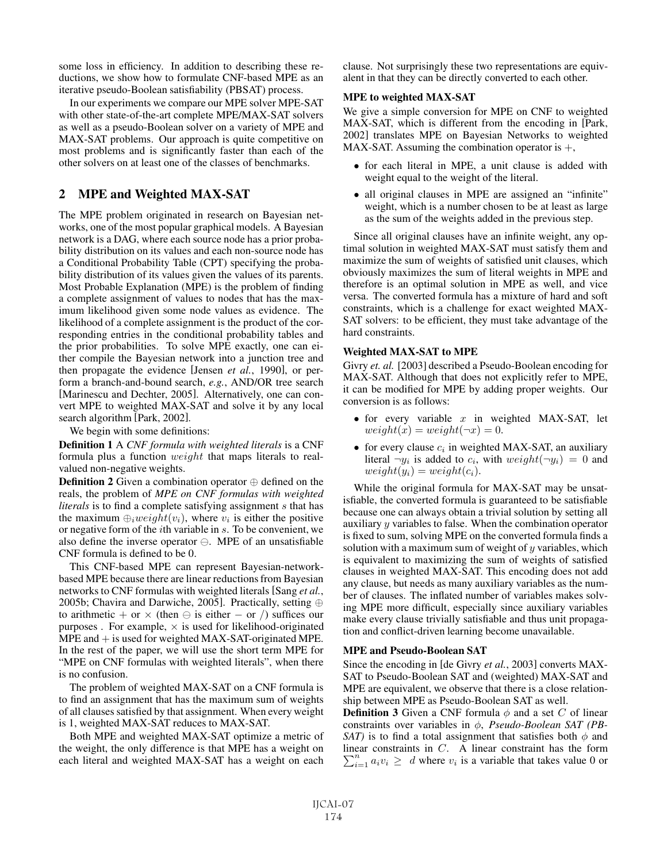some loss in efficiency. In addition to describing these reductions, we show how to formulate CNF-based MPE as an iterative pseudo-Boolean satisfiability (PBSAT) process.

In our experiments we compare our MPE solver MPE-SAT with other state-of-the-art complete MPE/MAX-SAT solvers as well as a pseudo-Boolean solver on a variety of MPE and MAX-SAT problems. Our approach is quite competitive on most problems and is significantly faster than each of the other solvers on at least one of the classes of benchmarks.

# 2 MPE and Weighted MAX-SAT

The MPE problem originated in research on Bayesian networks, one of the most popular graphical models. A Bayesian network is a DAG, where each source node has a prior probability distribution on its values and each non-source node has a Conditional Probability Table (CPT) specifying the probability distribution of its values given the values of its parents. Most Probable Explanation (MPE) is the problem of finding a complete assignment of values to nodes that has the maximum likelihood given some node values as evidence. The likelihood of a complete assignment is the product of the corresponding entries in the conditional probability tables and the prior probabilities. To solve MPE exactly, one can either compile the Bayesian network into a junction tree and then propagate the evidence [Jensen *et al.*, 1990], or perform a branch-and-bound search, *e.g.*, AND/OR tree search [Marinescu and Dechter, 2005]. Alternatively, one can convert MPE to weighted MAX-SAT and solve it by any local search algorithm [Park, 2002].

#### We begin with some definitions:

Definition 1 A *CNF formula with weighted literals* is a CNF formula plus a function weight that maps literals to realvalued non-negative weights.

**Definition 2** Given a combination operator  $\oplus$  defined on the reals, the problem of *MPE on CNF formulas with weighted literals* is to find a complete satisfying assignment s that has the maximum  $\bigoplus_i weight(v_i)$ , where  $v_i$  is either the positive or negative form of the  $i$ th variable in  $s$ . To be convenient, we also define the inverse operator  $\ominus$ . MPE of an unsatisfiable CNF formula is defined to be 0.

This CNF-based MPE can represent Bayesian-networkbased MPE because there are linear reductions from Bayesian networks to CNF formulas with weighted literals [Sang *et al.*, 2005b; Chavira and Darwiche, 2005]. Practically, setting ⊕ to arithmetic + or  $\times$  (then  $\ominus$  is either – or /) suffices our purposes . For example,  $\times$  is used for likelihood-originated  $MPE$  and  $+$  is used for weighted MAX-SAT-originated MPE. In the rest of the paper, we will use the short term MPE for "MPE on CNF formulas with weighted literals", when there is no confusion.

The problem of weighted MAX-SAT on a CNF formula is to find an assignment that has the maximum sum of weights of all clauses satisfied by that assignment. When every weight is 1, weighted MAX-SAT reduces to MAX-SAT.

Both MPE and weighted MAX-SAT optimize a metric of the weight, the only difference is that MPE has a weight on each literal and weighted MAX-SAT has a weight on each clause. Not surprisingly these two representations are equivalent in that they can be directly converted to each other.

# MPE to weighted MAX-SAT

We give a simple conversion for MPE on CNF to weighted MAX-SAT, which is different from the encoding in [Park, 2002] translates MPE on Bayesian Networks to weighted MAX-SAT. Assuming the combination operator is  $+,$ 

- for each literal in MPE, a unit clause is added with weight equal to the weight of the literal.
- all original clauses in MPE are assigned an "infinite" weight, which is a number chosen to be at least as large as the sum of the weights added in the previous step.

Since all original clauses have an infinite weight, any optimal solution in weighted MAX-SAT must satisfy them and maximize the sum of weights of satisfied unit clauses, which obviously maximizes the sum of literal weights in MPE and therefore is an optimal solution in MPE as well, and vice versa. The converted formula has a mixture of hard and soft constraints, which is a challenge for exact weighted MAX-SAT solvers: to be efficient, they must take advantage of the hard constraints.

#### Weighted MAX-SAT to MPE

Givry *et. al.* [2003] described a Pseudo-Boolean encoding for MAX-SAT. Although that does not explicitly refer to MPE, it can be modified for MPE by adding proper weights. Our conversion is as follows:

- for every variable  $x$  in weighted MAX-SAT, let  $weight(x) = weight(\neg x) = 0.$
- for every clause  $c_i$  in weighted MAX-SAT, an auxiliary literal  $\neg y_i$  is added to  $c_i$ , with  $weight(\neg y_i)=0$  and  $weight(y_i) = weight(c_i).$

While the original formula for MAX-SAT may be unsatisfiable, the converted formula is guaranteed to be satisfiable because one can always obtain a trivial solution by setting all auxiliary y variables to false. When the combination operator is fixed to sum, solving MPE on the converted formula finds a solution with a maximum sum of weight of  $y$  variables, which is equivalent to maximizing the sum of weights of satisfied clauses in weighted MAX-SAT. This encoding does not add any clause, but needs as many auxiliary variables as the number of clauses. The inflated number of variables makes solving MPE more difficult, especially since auxiliary variables make every clause trivially satisfiable and thus unit propagation and conflict-driven learning become unavailable.

#### MPE and Pseudo-Boolean SAT

Since the encoding in [de Givry *et al.*, 2003] converts MAX-SAT to Pseudo-Boolean SAT and (weighted) MAX-SAT and MPE are equivalent, we observe that there is a close relationship between MPE as Pseudo-Boolean SAT as well.

**Definition 3** Given a CNF formula  $\phi$  and a set C of linear constraints over variables in φ, *Pseudo-Boolean SAT (PB-SAT*) is to find a total assignment that satisfies both  $\phi$  and linear constraints in C. A linear constraint has the form  $\sum_{n=1}^{\infty}$  and  $\sum_{n=1}^{\infty}$  durbance is a variable that takes value 0 and  $\sum_{i=1}^{n} a_i v_i \geq d$  where  $v_i$  is a variable that takes value 0 or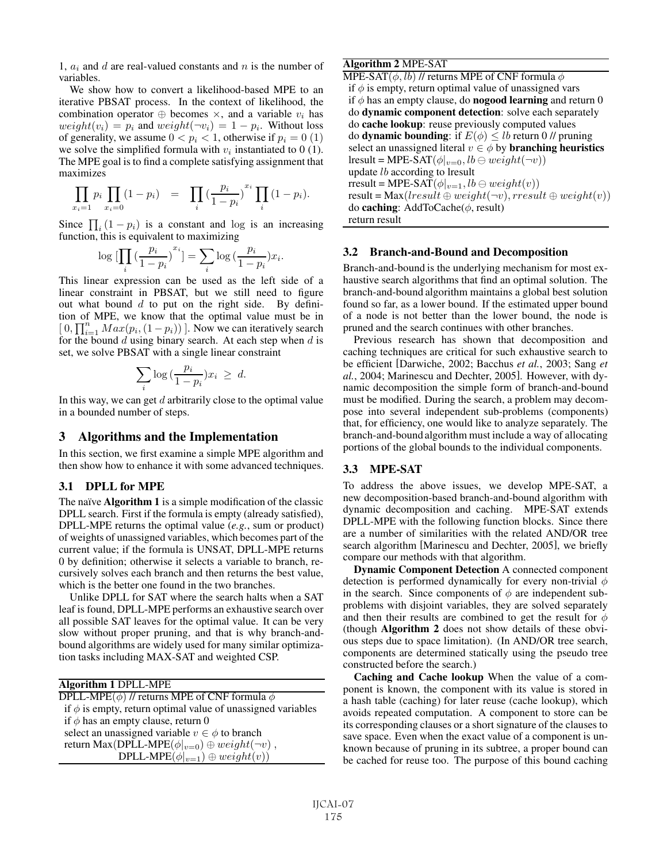1,  $a_i$  and d are real-valued constants and n is the number of variables.

We show how to convert a likelihood-based MPE to an iterative PBSAT process. In the context of likelihood, the combination operator  $\oplus$  becomes  $\times$ , and a variable  $v_i$  has  $weight(v_i) = p_i$  and  $weight(\neg v_i) = 1 - p_i$ . Without loss of generality, we assume  $0 < p_i < 1$ , otherwise if  $p_i = 0$  (1) we solve the simplified formula with  $v_i$  instantiated to 0 (1). The MPE goal is to find a complete satisfying assignment that maximizes

$$
\prod_{x_i=1} p_i \prod_{x_i=0} (1-p_i) = \prod_i \left(\frac{p_i}{1-p_i}\right)^{x_i} \prod_i (1-p_i).
$$

Since  $\prod_i (1 - p_i)$  is a constant and log is an increasing function this is equivalent to maximizing function, this is equivalent to maximizing

$$
\log\big[\prod_{i}\big(\frac{p_i}{1-p_i}\big)^{x_i}\big] = \sum_{i} \log\big(\frac{p_i}{1-p_i}\big)x_i.
$$

This linear expression can be used as the left side of a linear constraint in PBSAT, but we still need to figure out what bound  $d$  to put on the right side. By definition of MPE, we know that the optimal value must be in  $[0, \prod_{i=1}^{n} Max(p_i, (1-p_i))]$ . Now we can iteratively search for the bound d using binary search. At each step when d is for the bound  $d$  using binary search. At each step when  $d$  is set, we solve PBSAT with a single linear constraint

$$
\sum_{i} \log \left( \frac{p_i}{1 - p_i} \right) x_i \ \geq \ d.
$$

In this way, we can get  $d$  arbitrarily close to the optimal value in a bounded number of steps.

# 3 Algorithms and the Implementation

In this section, we first examine a simple MPE algorithm and then show how to enhance it with some advanced techniques.

#### 3.1 DPLL for MPE

The naïve Algorithm 1 is a simple modification of the classic DPLL search. First if the formula is empty (already satisfied), DPLL-MPE returns the optimal value (*e.g.*, sum or product) of weights of unassigned variables, which becomes part of the current value; if the formula is UNSAT, DPLL-MPE returns 0 by definition; otherwise it selects a variable to branch, recursively solves each branch and then returns the best value, which is the better one found in the two branches.

Unlike DPLL for SAT where the search halts when a SAT leaf is found, DPLL-MPE performs an exhaustive search over all possible SAT leaves for the optimal value. It can be very slow without proper pruning, and that is why branch-andbound algorithms are widely used for many similar optimization tasks including MAX-SAT and weighted CSP.

Algorithm 1 DPLL-MPE

| DPLL-MPE $(\phi)$ // returns MPE of CNF formula $\phi$           |
|------------------------------------------------------------------|
| if $\phi$ is empty, return optimal value of unassigned variables |
| if $\phi$ has an empty clause, return 0                          |
| select an unassigned variable $v \in \phi$ to branch             |
| return Max(DPLL-MPE $(\phi _{v=0}) \oplus weight(\neg v)$ ,      |
| DPLL-MPE $(\phi _{v=1}) \oplus weight(v)$                        |
|                                                                  |

# Algorithm 2 MPE-SAT

MPE-SAT $(\phi, lb)$  // returns MPE of CNF formula  $\phi$ if  $\phi$  is empty, return optimal value of unassigned vars if  $\phi$  has an empty clause, do **nogood learning** and return 0 do dynamic component detection: solve each separately do cache lookup: reuse previously computed values do **dynamic bounding**: if  $E(\phi) \leq lb$  return 0 // pruning select an unassigned literal  $v \in \phi$  by **branching heuristics** lresult = MPE-SAT $(\phi|_{v=0}, lb \ominus weight(\neg v))$ update lb according to lresult rresult = MPE-SAT $(\phi|_{v=1}, lb \ominus weight(v))$ result = Max(lresult  $\oplus$  weight( $\neg v$ ), rresult  $\oplus$  weight(v)) do **caching**: AddToCache $(\phi, \text{result})$ return result

#### 3.2 Branch-and-Bound and Decomposition

Branch-and-bound is the underlying mechanism for most exhaustive search algorithms that find an optimal solution. The branch-and-bound algorithm maintains a global best solution found so far, as a lower bound. If the estimated upper bound of a node is not better than the lower bound, the node is pruned and the search continues with other branches.

Previous research has shown that decomposition and caching techniques are critical for such exhaustive search to be efficient [Darwiche, 2002; Bacchus *et al.*, 2003; Sang *et al.*, 2004; Marinescu and Dechter, 2005]. However, with dynamic decomposition the simple form of branch-and-bound must be modified. During the search, a problem may decompose into several independent sub-problems (components) that, for efficiency, one would like to analyze separately. The branch-and-bound algorithm must include a way of allocating portions of the global bounds to the individual components.

# 3.3 MPE-SAT

To address the above issues, we develop MPE-SAT, a new decomposition-based branch-and-bound algorithm with dynamic decomposition and caching. MPE-SAT extends DPLL-MPE with the following function blocks. Since there are a number of similarities with the related AND/OR tree search algorithm [Marinescu and Dechter, 2005], we briefly compare our methods with that algorithm.

Dynamic Component Detection A connected component detection is performed dynamically for every non-trivial  $\phi$ in the search. Since components of  $\phi$  are independent subproblems with disjoint variables, they are solved separately and then their results are combined to get the result for  $\phi$ (though Algorithm 2 does not show details of these obvious steps due to space limitation). (In AND/OR tree search, components are determined statically using the pseudo tree constructed before the search.)

Caching and Cache lookup When the value of a component is known, the component with its value is stored in a hash table (caching) for later reuse (cache lookup), which avoids repeated computation. A component to store can be its corresponding clauses or a short signature of the clauses to save space. Even when the exact value of a component is unknown because of pruning in its subtree, a proper bound can be cached for reuse too. The purpose of this bound caching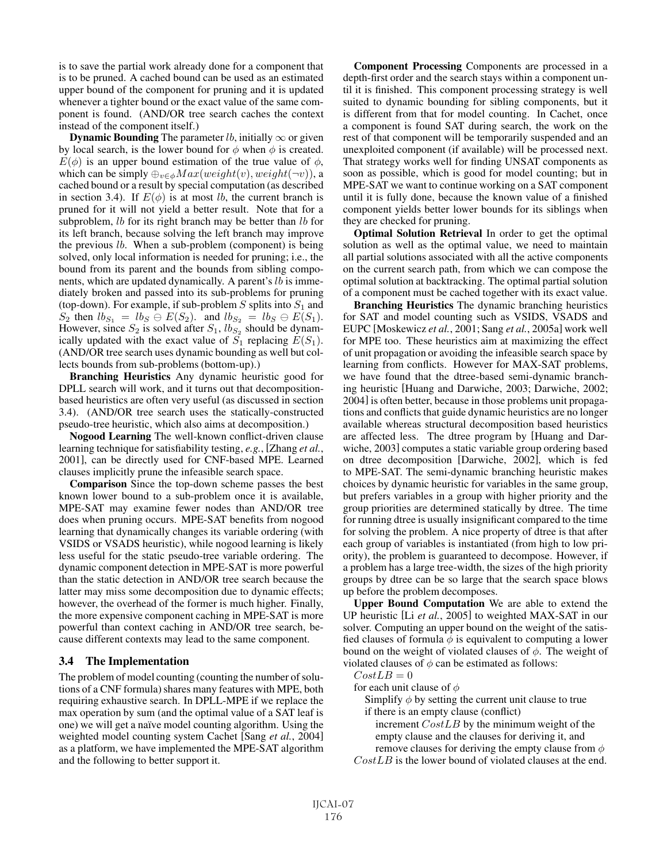is to save the partial work already done for a component that is to be pruned. A cached bound can be used as an estimated upper bound of the component for pruning and it is updated whenever a tighter bound or the exact value of the same component is found. (AND/OR tree search caches the context instead of the component itself.)

**Dynamic Bounding** The parameter *lb*, initially  $\infty$  or given by local search, is the lower bound for  $\phi$  when  $\phi$  is created.  $E(\phi)$  is an upper bound estimation of the true value of  $\phi$ , which can be simply  $\bigoplus_{v \in \phi} Max(weight(v), weight(\neg v))$ , a cached bound or a result by special computation (as described in section 3.4). If  $E(\phi)$  is at most lb, the current branch is pruned for it will not yield a better result. Note that for a subproblem, *lb* for its right branch may be better than *lb* for its left branch, because solving the left branch may improve the previous  $lb$ . When a sub-problem (component) is being solved, only local information is needed for pruning; i.e., the bound from its parent and the bounds from sibling components, which are updated dynamically. A parent's lb is immediately broken and passed into its sub-problems for pruning (top-down). For example, if sub-problem  $S$  splits into  $S_1$  and  $S_2$  then  $lb_{S_1} = lb_S \oplus E(S_2)$ . and  $lb_{S_2} = lb_S \oplus E(S_1)$ . However, since  $S_2$  is solved after  $S_1$ ,  $lb_{S_2}$  should be dynamically updated with the exact value of  $S_1$  replacing  $E(S_1)$ . (AND/OR tree search uses dynamic bounding as well but collects bounds from sub-problems (bottom-up).)

Branching Heuristics Any dynamic heuristic good for DPLL search will work, and it turns out that decompositionbased heuristics are often very useful (as discussed in section 3.4). (AND/OR tree search uses the statically-constructed pseudo-tree heuristic, which also aims at decomposition.)

Nogood Learning The well-known conflict-driven clause learning technique for satisfiability testing, *e.g.*, [Zhang *et al.*, 2001], can be directly used for CNF-based MPE. Learned clauses implicitly prune the infeasible search space.

Comparison Since the top-down scheme passes the best known lower bound to a sub-problem once it is available, MPE-SAT may examine fewer nodes than AND/OR tree does when pruning occurs. MPE-SAT benefits from nogood learning that dynamically changes its variable ordering (with VSIDS or VSADS heuristic), while nogood learning is likely less useful for the static pseudo-tree variable ordering. The dynamic component detection in MPE-SAT is more powerful than the static detection in AND/OR tree search because the latter may miss some decomposition due to dynamic effects; however, the overhead of the former is much higher. Finally, the more expensive component caching in MPE-SAT is more powerful than context caching in AND/OR tree search, because different contexts may lead to the same component.

#### 3.4 The Implementation

The problem of model counting (counting the number of solutions of a CNF formula) shares many features with MPE, both requiring exhaustive search. In DPLL-MPE if we replace the max operation by sum (and the optimal value of a SAT leaf is one) we will get a naïve model counting algorithm. Using the weighted model counting system Cachet [Sang *et al.*, 2004] as a platform, we have implemented the MPE-SAT algorithm and the following to better support it.

Component Processing Components are processed in a depth-first order and the search stays within a component until it is finished. This component processing strategy is well suited to dynamic bounding for sibling components, but it is different from that for model counting. In Cachet, once a component is found SAT during search, the work on the rest of that component will be temporarily suspended and an unexploited component (if available) will be processed next. That strategy works well for finding UNSAT components as soon as possible, which is good for model counting; but in MPE-SAT we want to continue working on a SAT component until it is fully done, because the known value of a finished component yields better lower bounds for its siblings when they are checked for pruning.

Optimal Solution Retrieval In order to get the optimal solution as well as the optimal value, we need to maintain all partial solutions associated with all the active components on the current search path, from which we can compose the optimal solution at backtracking. The optimal partial solution of a component must be cached together with its exact value.

Branching Heuristics The dynamic branching heuristics for SAT and model counting such as VSIDS, VSADS and EUPC [Moskewicz *et al.*, 2001; Sang *et al.*, 2005a] work well for MPE too. These heuristics aim at maximizing the effect of unit propagation or avoiding the infeasible search space by learning from conflicts. However for MAX-SAT problems, we have found that the dtree-based semi-dynamic branching heuristic [Huang and Darwiche, 2003; Darwiche, 2002; 2004] is often better, because in those problems unit propagations and conflicts that guide dynamic heuristics are no longer available whereas structural decomposition based heuristics are affected less. The dtree program by [Huang and Darwiche, 2003] computes a static variable group ordering based on dtree decomposition [Darwiche, 2002], which is fed to MPE-SAT. The semi-dynamic branching heuristic makes choices by dynamic heuristic for variables in the same group, but prefers variables in a group with higher priority and the group priorities are determined statically by dtree. The time for running dtree is usually insignificant compared to the time for solving the problem. A nice property of dtree is that after each group of variables is instantiated (from high to low priority), the problem is guaranteed to decompose. However, if a problem has a large tree-width, the sizes of the high priority groups by dtree can be so large that the search space blows up before the problem decomposes.

Upper Bound Computation We are able to extend the UP heuristic [Li *et al.*, 2005] to weighted MAX-SAT in our solver. Computing an upper bound on the weight of the satisfied clauses of formula  $\phi$  is equivalent to computing a lower bound on the weight of violated clauses of  $\phi$ . The weight of violated clauses of  $\phi$  can be estimated as follows:

#### $CostLB = 0$

for each unit clause of  $\phi$ 

Simplify  $\phi$  by setting the current unit clause to true

if there is an empty clause (conflict)

increment CostLB by the minimum weight of the empty clause and the clauses for deriving it, and

remove clauses for deriving the empty clause from  $\phi$ 

 $CostLB$  is the lower bound of violated clauses at the end.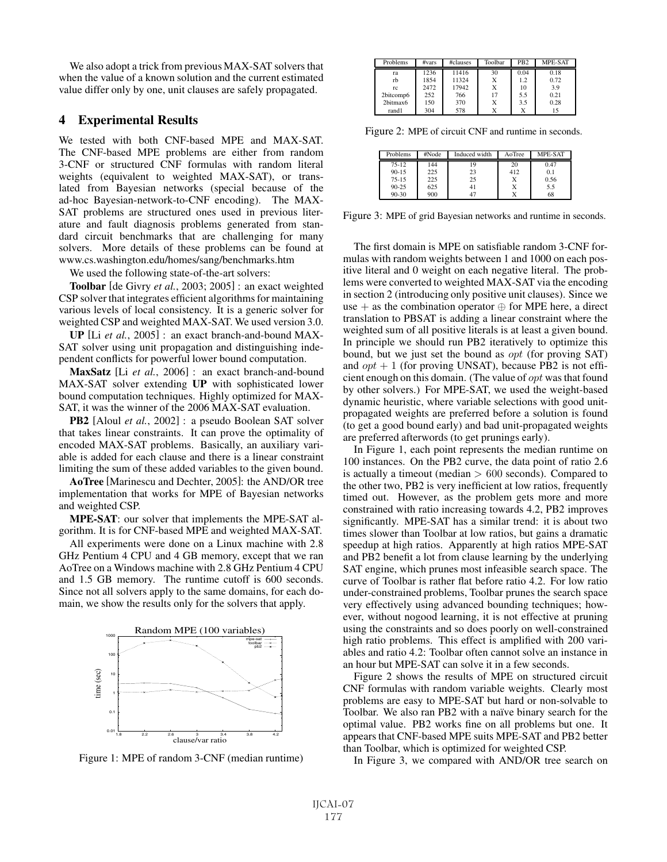We also adopt a trick from previous MAX-SAT solvers that when the value of a known solution and the current estimated value differ only by one, unit clauses are safely propagated.

# 4 Experimental Results

We tested with both CNF-based MPE and MAX-SAT. The CNF-based MPE problems are either from random 3-CNF or structured CNF formulas with random literal weights (equivalent to weighted MAX-SAT), or translated from Bayesian networks (special because of the ad-hoc Bayesian-network-to-CNF encoding). The MAX-SAT problems are structured ones used in previous literature and fault diagnosis problems generated from standard circuit benchmarks that are challenging for many solvers. More details of these problems can be found at www.cs.washington.edu/homes/sang/benchmarks.htm

We used the following state-of-the-art solvers:

Toolbar [de Givry *et al.*, 2003; 2005] : an exact weighted CSP solver that integrates efficient algorithms for maintaining various levels of local consistency. It is a generic solver for weighted CSP and weighted MAX-SAT. We used version 3.0.

UP [Li *et al.*, 2005] : an exact branch-and-bound MAX-SAT solver using unit propagation and distinguishing independent conflicts for powerful lower bound computation.

MaxSatz [Li *et al.*, 2006] : an exact branch-and-bound MAX-SAT solver extending UP with sophisticated lower bound computation techniques. Highly optimized for MAX-SAT, it was the winner of the 2006 MAX-SAT evaluation.

PB2 [Aloul *et al.*, 2002] : a pseudo Boolean SAT solver that takes linear constraints. It can prove the optimality of encoded MAX-SAT problems. Basically, an auxiliary variable is added for each clause and there is a linear constraint limiting the sum of these added variables to the given bound.

AoTree [Marinescu and Dechter, 2005]: the AND/OR tree implementation that works for MPE of Bayesian networks and weighted CSP.

MPE-SAT: our solver that implements the MPE-SAT algorithm. It is for CNF-based MPE and weighted MAX-SAT.

All experiments were done on a Linux machine with 2.8 GHz Pentium 4 CPU and 4 GB memory, except that we ran AoTree on a Windows machine with 2.8 GHz Pentium 4 CPU and 1.5 GB memory. The runtime cutoff is 600 seconds. Since not all solvers apply to the same domains, for each domain, we show the results only for the solvers that apply.



Figure 1: MPE of random 3-CNF (median runtime)

| Problems  | $\#vars$ | #clauses | Toolbar | PB <sub>2</sub> | <b>MPE-SAT</b> |
|-----------|----------|----------|---------|-----------------|----------------|
| ra        | 1236     | 11416    | 30      | 0.04            | 0.18           |
| rb        | 1854     | 11324    | Х       | 1.2             | 0.72           |
| rc        | 2472     | 17942    | Х       | 10              | 3.9            |
| 2bitcomp6 | 252      | 766      | 17      | 5.5             | 0.21           |
| 2bitmax6  | 150      | 370      | Χ       | 3.5             | 0.28           |
| rand1     | 304      | 578      | X       |                 | 15             |

Figure 2: MPE of circuit CNF and runtime in seconds.

| <b>Problems</b> | #Node | Induced width | AoTree | <b>MPE-SAT</b> |
|-----------------|-------|---------------|--------|----------------|
| $75 - 12$       | 144   | 19            | 20     | 0.47           |
| $90 - 15$       | 225   | 23            | 412    | 0.1            |
| $75 - 15$       | 225   | 25            |        | 0.56           |
| $90 - 25$       | 625   | 41            |        | 5.5            |
| $90 - 30$       | 900   |               |        | 68             |

Figure 3: MPE of grid Bayesian networks and runtime in seconds.

The first domain is MPE on satisfiable random 3-CNF formulas with random weights between 1 and 1000 on each positive literal and 0 weight on each negative literal. The problems were converted to weighted MAX-SAT via the encoding in section 2 (introducing only positive unit clauses). Since we use + as the combination operator  $\oplus$  for MPE here, a direct translation to PBSAT is adding a linear constraint where the weighted sum of all positive literals is at least a given bound. In principle we should run PB2 iteratively to optimize this bound, but we just set the bound as opt (for proving SAT) and  $opt + 1$  (for proving UNSAT), because PB2 is not efficient enough on this domain. (The value of opt was that found by other solvers.) For MPE-SAT, we used the weight-based dynamic heuristic, where variable selections with good unitpropagated weights are preferred before a solution is found (to get a good bound early) and bad unit-propagated weights are preferred afterwords (to get prunings early).

In Figure 1, each point represents the median runtime on 100 instances. On the PB2 curve, the data point of ratio 2.6 is actually a timeout (median  $> 600$  seconds). Compared to the other two, PB2 is very inefficient at low ratios, frequently timed out. However, as the problem gets more and more constrained with ratio increasing towards 4.2, PB2 improves significantly. MPE-SAT has a similar trend: it is about two times slower than Toolbar at low ratios, but gains a dramatic speedup at high ratios. Apparently at high ratios MPE-SAT and PB2 benefit a lot from clause learning by the underlying SAT engine, which prunes most infeasible search space. The curve of Toolbar is rather flat before ratio 4.2. For low ratio under-constrained problems, Toolbar prunes the search space very effectively using advanced bounding techniques; however, without nogood learning, it is not effective at pruning using the constraints and so does poorly on well-constrained high ratio problems. This effect is amplified with 200 variables and ratio 4.2: Toolbar often cannot solve an instance in an hour but MPE-SAT can solve it in a few seconds.

Figure 2 shows the results of MPE on structured circuit CNF formulas with random variable weights. Clearly most problems are easy to MPE-SAT but hard or non-solvable to Toolbar. We also ran PB2 with a naïve binary search for the optimal value. PB2 works fine on all problems but one. It appears that CNF-based MPE suits MPE-SAT and PB2 better than Toolbar, which is optimized for weighted CSP.

In Figure 3, we compared with AND/OR tree search on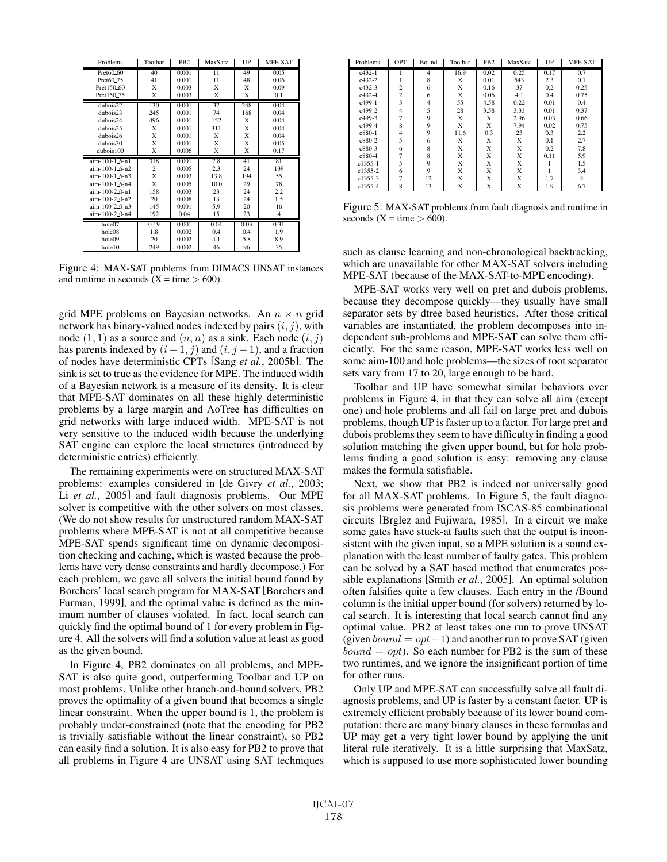| Problems         | Toolbar        | PB <sub>2</sub> | MaxSatz | UP   | MPE-SAT        |
|------------------|----------------|-----------------|---------|------|----------------|
| Pret60.60        | 40             | 0.001           | 11      | 49   | 0.05           |
| Pret60.75        | 41             | 0.001           | 11      | 48   | 0.06           |
| Pret150.60       | X              | 0.003           | X       | X    | 0.09           |
| Pret150.75       | X              | 0.003           | X       | X    | 0.1            |
| dubois22         | 130            | 0.001           | 37      | 248  | 0.04           |
| dubois23         | 245            | 0.001           | 74      | 168  | 0.04           |
| dubois24         | 496            | 0.001           | 152     | X    | 0.04           |
| dubois 25        | X              | 0.001           | 311     | X    | 0.04           |
| dubois26         | X              | 0.001           | X       | X    | 0.04           |
| dubois30         | X              | 0.001           | X       | X    | 0.05           |
| dubois100        | X              | 0.006           | X       | X    | 0.17           |
| aim-100-1.6-n1   | 318            | 0.001           | 7.8     | 41   | 81             |
| aim-100-1.6-n2   |                |                 | 2.3     | 24   | 139            |
|                  | $\overline{c}$ | 0.005           |         |      |                |
| aim-100-1.6-n3   | X              | 0.003           | 13.8    | 194  | 55             |
| aim-100-1.6-n4   | X              | 0.005           | 10.0    | 29   | 78             |
| $aim-100-2.0-n1$ | 158            | 0.003           | 23      | 24   | 2.2            |
| aim-100-2_0-n2   | 20             | 0.008           | 13      | 24   | 1.5            |
| aim-100-2.0-n3   | 145            | 0.001           | 5.9     | 20   | 16             |
| aim-100-2.0-n4   | 192            | 0.04            | 15      | 23   | $\overline{4}$ |
| hole07           | 0.19           | 0.001           | 0.04    | 0.03 | 0.31           |
| hole08           | 1.8            | 0.002           | 0.4     | 0.4  | 1.9            |
| hole09           | 20             | 0.002           | 4.1     | 5.8  | 8.9            |

Figure 4: MAX-SAT problems from DIMACS UNSAT instances and runtime in seconds  $(X = time > 600)$ .

grid MPE problems on Bayesian networks. An  $n \times n$  grid network has binary-valued nodes indexed by pairs  $(i, j)$ , with node  $(1, 1)$  as a source and  $(n, n)$  as a sink. Each node  $(i, j)$ has parents indexed by  $(i - 1, j)$  and  $(i, j - 1)$ , and a fraction of nodes have deterministic CPTs [Sang *et al.*, 2005b]. The sink is set to true as the evidence for MPE. The induced width of a Bayesian network is a measure of its density. It is clear that MPE-SAT dominates on all these highly deterministic problems by a large margin and AoTree has difficulties on grid networks with large induced width. MPE-SAT is not very sensitive to the induced width because the underlying SAT engine can explore the local structures (introduced by deterministic entries) efficiently.

The remaining experiments were on structured MAX-SAT problems: examples considered in [de Givry *et al.*, 2003; Li *et al.*, 2005] and fault diagnosis problems. Our MPE solver is competitive with the other solvers on most classes. (We do not show results for unstructured random MAX-SAT problems where MPE-SAT is not at all competitive because MPE-SAT spends significant time on dynamic decomposition checking and caching, which is wasted because the problems have very dense constraints and hardly decompose.) For each problem, we gave all solvers the initial bound found by Borchers' local search program for MAX-SAT [Borchers and Furman, 1999], and the optimal value is defined as the minimum number of clauses violated. In fact, local search can quickly find the optimal bound of 1 for every problem in Figure 4. All the solvers will find a solution value at least as good as the given bound.

In Figure 4, PB2 dominates on all problems, and MPE-SAT is also quite good, outperforming Toolbar and UP on most problems. Unlike other branch-and-bound solvers, PB2 proves the optimality of a given bound that becomes a single linear constraint. When the upper bound is 1, the problem is probably under-constrained (note that the encoding for PB2 is trivially satisfiable without the linear constraint), so PB2 can easily find a solution. It is also easy for PB2 to prove that all problems in Figure 4 are UNSAT using SAT techniques

| Problems.   | OPT            | Bound | Toolbar | PB <sub>2</sub> | MaxSatz | UP   | MPE-SAT        |
|-------------|----------------|-------|---------|-----------------|---------|------|----------------|
| $c432-1$    |                | 4     | 16.9    | 0.02            | 0.25    | 0.17 | 0.7            |
| $c432-2$    |                | 8     | X       | 0.01            | 543     | 2.3  | 0.1            |
| $c432-3$    | $\overline{c}$ | 6     | X       | 0.16            | 37      | 0.2  | 0.25           |
| $c432 - 4$  | $\overline{c}$ | 6     | X       | 0.06            | 4.1     | 0.4  | 0.75           |
| $c499-1$    | 3              | 4     | 55      | 4.58            | 0.22    | 0.01 | 0.4            |
| c499-2      | $\overline{4}$ | 5     | 28      | 3.58            | 3.33    | 0.01 | 0.37           |
| c499-3      |                | 9     | X       | Х               | 2.96    | 0.03 | 0.66           |
| c499-4      | 8              | 9     | X       | X               | 7.94    | 0.02 | 0.75           |
| c880-1      | $\overline{4}$ | 9     | 11.6    | 0.3             | 23      | 0.3  | 2.2            |
| c880-2      | 5              | 6     | X       | X               | X       | 0.1  | 2.7            |
| c880-3      | 6              | 8     | X       | X               | X       | 0.2  | 7.8            |
| c880-4      |                | 8     | X       | X               | X       | 0.11 | 5.9            |
| $c1355 - 1$ | 5              | 9     | X       | X               | X       |      | 1.5            |
| c1355-2     | 6              | 9     | X       | X               | X       |      | 3.4            |
| c1355-3     | $\overline{7}$ | 12    | X       | X               | X       | 1.7  | $\overline{4}$ |
| $c1355-4$   | 8              | 13    | X       | X               | X       | 1.9  | 6.7            |

Figure 5: MAX-SAT problems from fault diagnosis and runtime in seconds  $(X = time > 600)$ .

such as clause learning and non-chronological backtracking, which are unavailable for other MAX-SAT solvers including MPE-SAT (because of the MAX-SAT-to-MPE encoding).

MPE-SAT works very well on pret and dubois problems, because they decompose quickly—they usually have small separator sets by dtree based heuristics. After those critical variables are instantiated, the problem decomposes into independent sub-problems and MPE-SAT can solve them efficiently. For the same reason, MPE-SAT works less well on some aim-100 and hole problems—the sizes of root separator sets vary from 17 to 20, large enough to be hard.

Toolbar and UP have somewhat similar behaviors over problems in Figure 4, in that they can solve all aim (except one) and hole problems and all fail on large pret and dubois problems, though UP is faster up to a factor. For large pret and dubois problems they seem to have difficulty in finding a good solution matching the given upper bound, but for hole problems finding a good solution is easy: removing any clause makes the formula satisfiable.

Next, we show that PB2 is indeed not universally good for all MAX-SAT problems. In Figure 5, the fault diagnosis problems were generated from ISCAS-85 combinational circuits [Brglez and Fujiwara, 1985]. In a circuit we make some gates have stuck-at faults such that the output is inconsistent with the given input, so a MPE solution is a sound explanation with the least number of faulty gates. This problem can be solved by a SAT based method that enumerates possible explanations [Smith *et al.*, 2005]. An optimal solution often falsifies quite a few clauses. Each entry in the /Bound column is the initial upper bound (for solvers) returned by local search. It is interesting that local search cannot find any optimal value. PB2 at least takes one run to prove UNSAT (given  $bound = opt-1$ ) and another run to prove SAT (given  $bound = opt$ ). So each number for PB2 is the sum of these two runtimes, and we ignore the insignificant portion of time for other runs.

Only UP and MPE-SAT can successfully solve all fault diagnosis problems, and UP is faster by a constant factor. UP is extremely efficient probably because of its lower bound computation: there are many binary clauses in these formulas and UP may get a very tight lower bound by applying the unit literal rule iteratively. It is a little surprising that MaxSatz, which is supposed to use more sophisticated lower bounding